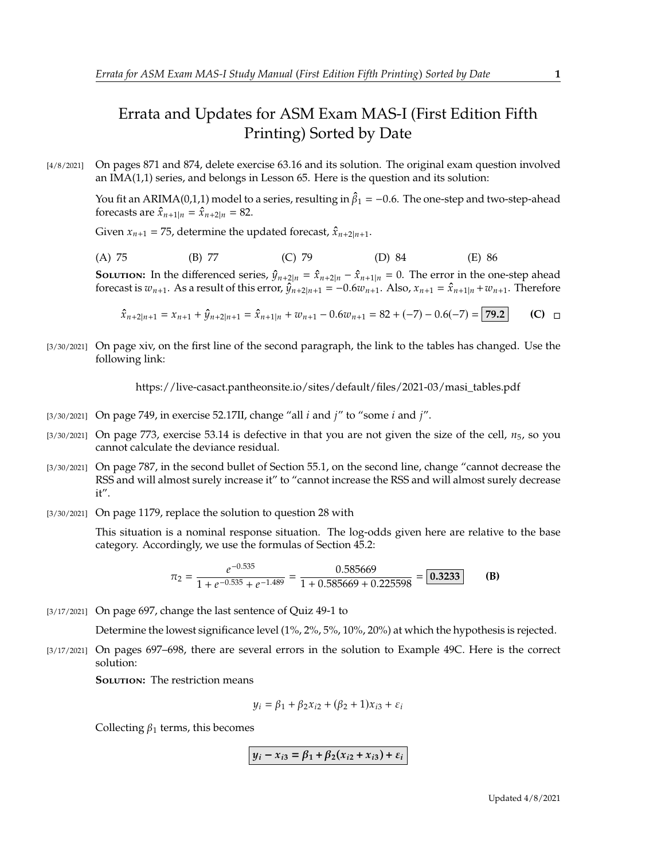## Errata and Updates for ASM Exam MAS-I (First Edition Fifth Printing) Sorted by Date

[4/8/2021] On pages 871 and 874, delete exercise 63.16 and its solution. The original exam question involved an IMA(1,1) series, and belongs in Lesson 65. Here is the question and its solution:

You fit an ARIMA(0,1,1) model to a series, resulting in  $\hat{\beta}_1 = -0.6$ . The one-step and two-step-ahead forecasts are  $\hat{x}_{\text{total}} = \hat{x}_{\text{total}} - 82$ forecasts are  $\hat{x}_{n+1|n} = \hat{x}_{n+2|n} = 82$ .

Given  $x_{n+1} = 75$ , determine the updated forecast,  $\hat{x}_{n+2|n+1}$ .

(A) 75 (B) 77 (C) 79 (D) 84 (E) 86

**SOLUTION:** In the differenced series,  $\hat{y}_{n+2|n} = \hat{x}_{n+2|n} - \hat{x}_{n+1|n} = 0$ . The error in the one-step ahead forecast is  $w_{n+1}$ . As a result of this error,  $\hat{y}_{n+2|n+1} = -0.6w_{n+1}$ . Also,  $x_{n+1} = \hat{x}_{n+1|n} + w_{n+1}$ . Therefore

$$
\hat{x}_{n+2|n+1} = x_{n+1} + \hat{y}_{n+2|n+1} = \hat{x}_{n+1|n} + w_{n+1} - 0.6w_{n+1} = 82 + (-7) - 0.6(-7) = 79.2
$$
 (C)  $\Box$ 

[3/30/2021] On page xiv, on the first line of the second paragraph, the link to the tables has changed. Use the following link:

https://live-casact.pantheonsite.io/sites/default/files/2021-03/masi\_tables.pdf

- $_{[3/30/2021]}$  On page 749, in exercise 52.17II, change "all i and j" to "some i and j".
- $[3/30/2021]$  On page 773, exercise 53.14 is defective in that you are not given the size of the cell,  $n_5$ , so you cannot calculate the deviance residual.
- [3/30/2021] On page 787, in the second bullet of Section 55.1, on the second line, change "cannot decrease the RSS and will almost surely increase it" to "cannot increase the RSS and will almost surely decrease it".
- [3/30/2021] On page 1179, replace the solution to question 28 with

This situation is a nominal response situation. The log-odds given here are relative to the base category. Accordingly, we use the formulas of Section 45.2:

$$
\pi_2 = \frac{e^{-0.535}}{1 + e^{-0.535} + e^{-1.489}} = \frac{0.585669}{1 + 0.585669 + 0.225598} = \boxed{0.3233}
$$
 (B)

[3/17/2021] On page 697, change the last sentence of Quiz 49-1 to

Determine the lowest significance level (1%, 2%, 5%, 10%, 20%) at which the hypothesis is rejected.

[3/17/2021] On pages 697–698, there are several errors in the solution to Example 49C. Here is the correct solution:

**SOLUTION:** The restriction means

$$
y_i = \beta_1 + \beta_2 x_{i2} + (\beta_2 + 1)x_{i3} + \varepsilon_i
$$

Collecting  $\beta_1$  terms, this becomes

$$
y_i - x_{i3} = \beta_1 + \beta_2(x_{i2} + x_{i3}) + \varepsilon_i
$$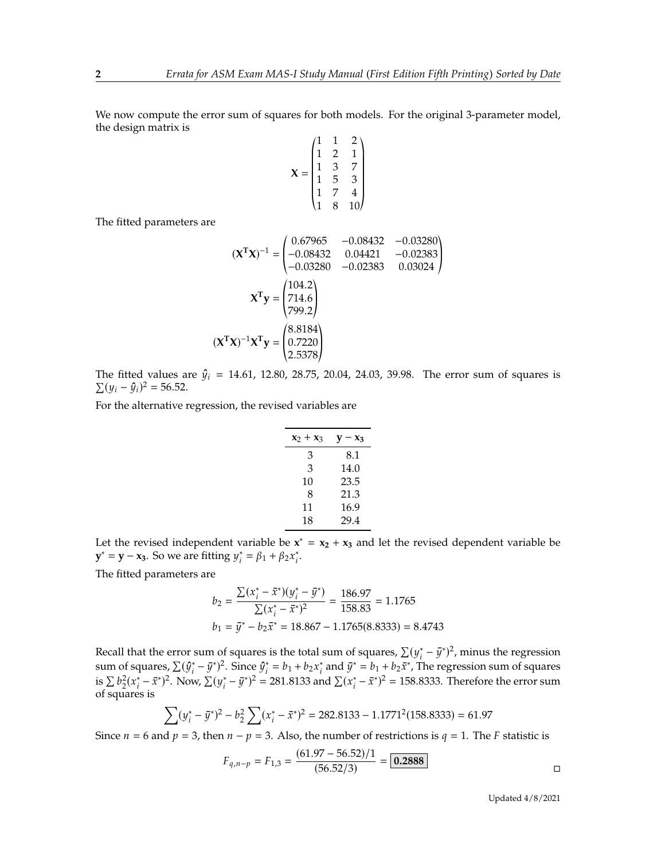We now compute the error sum of squares for both models. For the original 3-parameter model, the design matrix is

$$
\mathbf{X} = \begin{pmatrix} 1 & 1 & 2 \\ 1 & 2 & 1 \\ 1 & 3 & 7 \\ 1 & 5 & 3 \\ 1 & 7 & 4 \\ 1 & 8 & 10 \end{pmatrix}
$$

The fitted parameters are

$$
(\mathbf{X}^{\mathsf{T}}\mathbf{X})^{-1} = \begin{pmatrix} 0.67965 & -0.08432 & -0.03280 \\ -0.08432 & 0.04421 & -0.02383 \\ -0.03280 & -0.02383 & 0.03024 \end{pmatrix}
$$

$$
\mathbf{X}^{\mathsf{T}}\mathbf{y} = \begin{pmatrix} 104.2 \\ 714.6 \\ 799.2 \end{pmatrix}
$$

$$
(\mathbf{X}^{\mathsf{T}}\mathbf{X})^{-1}\mathbf{X}^{\mathsf{T}}\mathbf{y} = \begin{pmatrix} 8.8184 \\ 0.7220 \\ 2.5378 \end{pmatrix}
$$

The fitted values are  $\hat{y}_i = 14.61$ , 12.80, 28.75, 20.04, 24.03, 39.98. The error sum of squares is  $\nabla (y_i - \hat{y}_i)^2 = 56.52$  $\sum (y_i - \hat{y}_i)^2 = 56.52.$ 

For the alternative regression, the revised variables are

| $x_2 + x_3$ | $\mathbf{v}-\mathbf{x}_3$ |
|-------------|---------------------------|
| 3           | 8.1                       |
| 3           | 14.0                      |
| 10          | 23.5                      |
| 8           | 21.3                      |
| 11          | 16.9                      |
| 18          | 29.4                      |

Let the revised independent variable be  $x^* = x_2 + x_3$  and let the revised dependent variable be **y**<sup>\*</sup> = **y** – **x**<sub>3</sub>. So we are fitting  $y_i^* = \beta_1 + \beta_2 x_i^*$ .

The fitted parameters are

$$
b_2 = \frac{\sum (x_i^* - \bar{x}^*)(y_i^* - \bar{y}^*)}{\sum (x_i^* - \bar{x}^*)^2} = \frac{186.97}{158.83} = 1.1765
$$
  

$$
b_1 = \bar{y}^* - b_2 \bar{x}^* = 18.867 - 1.1765(8.8333) = 8.4743
$$

Recall that the error sum of squares is the total sum of squares,  $\sum (y_i^* - \bar{y}^*)^2$ , minus the regression<br>sum of squares,  $\sum (\hat{y}_i^* - \bar{y}_i)^2$ ,  $\sum (\hat{y}_i^* - \hat{y}_i)^2$ ,  $\sum (\hat{y}_i^* - \hat{y}_i)^2$ ,  $\sum (\hat{y}_i^* - \hat{y}_i)^2$ sum of squares,  $\sum (\hat{y}_i^* - \bar{y}^*)^2$ . Since  $\hat{y}_i^* = b_1 + b_2 x_i^*$  and  $\bar{y}^* = b_1 + b_2 \bar{x}^*$ . If  $\sum k_i^2 (x_i^* - \bar{x}^*)^2$  $(\vec{y}_i^* - \vec{y}^*)^2$ . Since  $\hat{y}_i^*$  $a_i^* = b_1 + b_2 x_i^*$ <br>  $\therefore$  281.8133.27 <sup>\*</sup> and  $\bar{y}^* = b_1 + b_2 \bar{x}^*$ , The regression sum of squares<br>and  $\sum (x^* - \bar{x}^*)^2 = 158.8333$ . Therefore the error sum is  $\sum b_2^2 (x_i^* - \bar{x}^*)^2$ . Now,  $\sum (y_i^*)$  $\sum_{i=1}^{n}$  of squares is  $(\vec{y} - \vec{y})^2 = 281.8133$  and  $\sum (x_i^*)^2 = 281.8133$  $(\vec{x}_i - \vec{x}^*)^2 = 158.8333$ . Therefore the error sum

$$
\sum (y_i^* - \bar{y}^*)^2 - b_2^2 \sum (x_i^* - \bar{x}^*)^2 = 282.8133 - 1.1771^2 (158.8333) = 61.97
$$

Since  $n = 6$  and  $p = 3$ , then  $n - p = 3$ . Also, the number of restrictions is  $q = 1$ . The F statistic is

$$
F_{q,n-p} = F_{1,3} = \frac{(61.97 - 56.52)/1}{(56.52/3)} = \boxed{0.2888}
$$

Updated 4/8/2021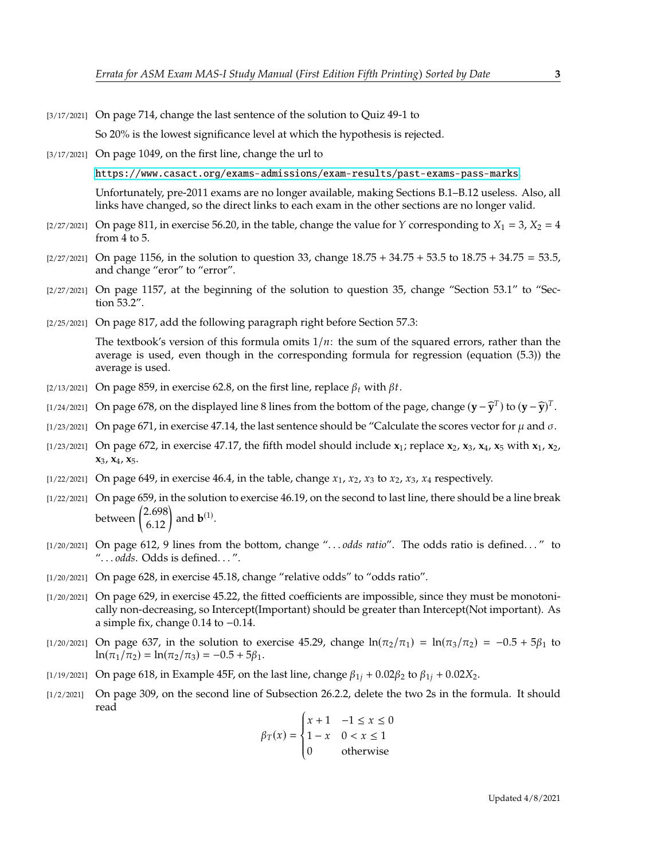[3/17/2021] On page 714, change the last sentence of the solution to Quiz 49-1 to

So 20% is the lowest significance level at which the hypothesis is rejected.

[3/17/2021] On page 1049, on the first line, change the url to

<https://www.casact.org/exams-admissions/exam-results/past-exams-pass-marks>.

Unfortunately, pre-2011 exams are no longer available, making Sections B.1–B.12 useless. Also, all links have changed, so the direct links to each exam in the other sections are no longer valid.

- $[2/27/2021]$  On page 811, in exercise 56.20, in the table, change the value for Y corresponding to  $X_1 = 3$ ,  $X_2 = 4$ from 4 to 5.
- $[2/27/2021]$  On page 1156, in the solution to question 33, change  $18.75 + 34.75 + 53.5$  to  $18.75 + 34.75 = 53.5$ , and change "eror" to "error".
- $[2/27/2021]$  On page 1157, at the beginning of the solution to question 35, change "Section 53.1" to "Section 53.2".
- [2/25/2021] On page 817, add the following paragraph right before Section 57.3:

The textbook's version of this formula omits  $1/n$ : the sum of the squared errors, rather than the average is used, even though in the corresponding formula for regression (equation (5.3)) the average is used.

- [2/13/2021] On page 859, in exercise 62.8, on the first line, replace  $\beta_t$  with  $\beta t$ .
- $[1/24/2021]$  On page 678, on the displayed line 8 lines from the bottom of the page, change  $(\mathbf{y} \widehat{\mathbf{y}}^T)$  to  $(\mathbf{y} \widehat{\mathbf{y}})^T$ .
- [1/23/2021] On page 671, in exercise 47.14, the last sentence should be "Calculate the scores vector for  $\mu$  and  $\sigma$ .
- [1/23/2021] On page 672, in exercise 47.17, the fifth model should include **x**1; replace **x**2, **x**3, **x**4, **x**<sup>5</sup> with **x**1, **x**2, **x**3, **x**4, **x**5.
- [1/22/2021] On page 649, in exercise 46.4, in the table, change  $x_1$ ,  $x_2$ ,  $x_3$  to  $x_2$ ,  $x_3$ ,  $x_4$  respectively.
- [1/22/2021] On page 659, in the solution to exercise 46.19, on the second to last line, there should be a line break between  $\begin{pmatrix} 2.698 \\ 6.12 \end{pmatrix}$ and  $\mathbf{b}^{(1)}$ .
- [1/20/2021] On page 612, 9 lines from the bottom, change ". . . *odds ratio*". The odds ratio is defined. . . " to ". . . *odds*. Odds is defined. . . ".
- [1/20/2021] On page 628, in exercise 45.18, change "relative odds" to "odds ratio".
- [1/20/2021] On page 629, in exercise 45.22, the fitted coefficients are impossible, since they must be monotonically non-decreasing, so Intercept(Important) should be greater than Intercept(Not important). As a simple fix, change <sup>0</sup>.<sup>14</sup> to <sup>−</sup>0.14.
- [1/20/2021] On page 637, in the solution to exercise 45.29, change  $\ln(\pi_2/\pi_1) = \ln(\pi_3/\pi_2) = -0.5 + 5\beta_1$  to  $ln(\pi_1/\pi_2) = ln(\pi_2/\pi_3) = -0.5 + 5\beta_1.$
- [1/19/2021] On page 618, in Example 45F, on the last line, change  $\beta_{1j} + 0.02\beta_2$  to  $\beta_{1j} + 0.02X_2$ .
- [1/2/2021] On page 309, on the second line of Subsection 26.2.2, delete the two 2s in the formula. It should read

J.

$$
\beta_T(x) = \begin{cases} x+1 & -1 \le x \le 0 \\ 1-x & 0 < x \le 1 \\ 0 & \text{otherwise} \end{cases}
$$